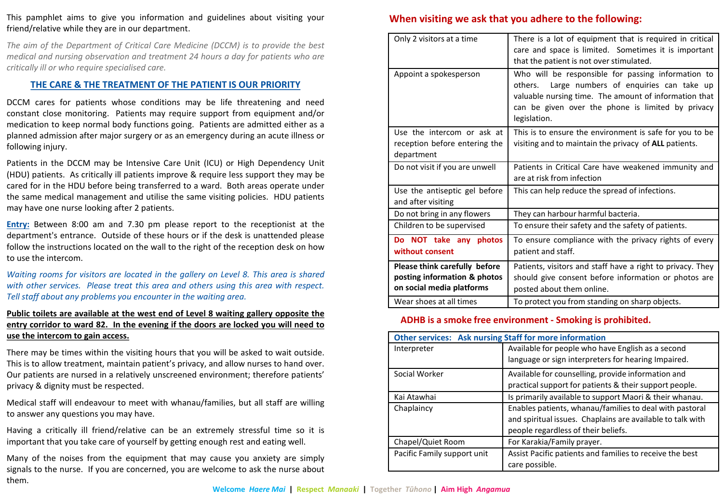This pamphlet aims to give you information and guidelines about visiting your friend/relative while they are in our department.

*The aim of the Department of Critical Care Medicine (DCCM) is to provide the best medical and nursing observation and treatment 24 hours a day for patients who are critically ill or who require specialised care.*

## **THE CARE & THE TREATMENT OF THE PATIENT IS OUR PRIORITY**

DCCM cares for patients whose conditions may be life threatening and need constant close monitoring. Patients may require support from equipment and/or medication to keep normal body functions going. Patients are admitted either as a planned admission after major surgery or as an emergency during an acute illness or following injury.

Patients in the DCCM may be Intensive Care Unit (ICU) or High Dependency Unit (HDU) patients. As critically ill patients improve & require less support they may be cared for in the HDU before being transferred to a ward. Both areas operate under the same medical management and utilise the same visiting policies. HDU patients may have one nurse looking after 2 patients.

**Entry:** Between 8:00 am and 7.30 pm please report to the receptionist at the department's entrance. Outside of these hours or if the desk is unattended please follow the instructions located on the wall to the right of the reception desk on how to use the intercom.

*Waiting rooms for visitors are located in the gallery on Level 8. This area is shared with other services. Please treat this area and others using this area with respect. Tell staff about any problems you encounter in the waiting area.*

## **Public toilets are available at the west end of Level 8 waiting gallery opposite the entry corridor to ward 82. In the evening if the doors are locked you will need to use the intercom to gain access.**

There may be times within the visiting hours that you will be asked to wait outside. This is to allow treatment, maintain patient's privacy, and allow nurses to hand over. Our patients are nursed in a relatively unscreened environment; therefore patients' privacy & dignity must be respected.

Medical staff will endeavour to meet with whanau/families, but all staff are willing to answer any questions you may have.

Having a critically ill friend/relative can be an extremely stressful time so it is important that you take care of yourself by getting enough rest and eating well.

Many of the noises from the equipment that may cause you anxiety are simply signals to the nurse. If you are concerned, you are welcome to ask the nurse about them.

## **When visiting we ask that you adhere to the following:**

| Only 2 visitors at a time                                                                  | There is a lot of equipment that is required in critical<br>care and space is limited. Sometimes it is important<br>that the patient is not over stimulated.                                                                          |
|--------------------------------------------------------------------------------------------|---------------------------------------------------------------------------------------------------------------------------------------------------------------------------------------------------------------------------------------|
| Appoint a spokesperson                                                                     | Who will be responsible for passing information to<br>Large numbers of enquiries can take up<br>others.<br>valuable nursing time. The amount of information that<br>can be given over the phone is limited by privacy<br>legislation. |
| Use the intercom or ask at<br>reception before entering the<br>department                  | This is to ensure the environment is safe for you to be<br>visiting and to maintain the privacy of <b>ALL</b> patients.                                                                                                               |
| Do not visit if you are unwell                                                             | Patients in Critical Care have weakened immunity and<br>are at risk from infection                                                                                                                                                    |
| Use the antiseptic gel before<br>and after visiting                                        | This can help reduce the spread of infections.                                                                                                                                                                                        |
| Do not bring in any flowers                                                                | They can harbour harmful bacteria.                                                                                                                                                                                                    |
| Children to be supervised                                                                  | To ensure their safety and the safety of patients.                                                                                                                                                                                    |
| Do NOT take any photos<br>without consent                                                  | To ensure compliance with the privacy rights of every<br>patient and staff.                                                                                                                                                           |
| Please think carefully before<br>posting information & photos<br>on social media platforms | Patients, visitors and staff have a right to privacy. They<br>should give consent before information or photos are<br>posted about them online.                                                                                       |
| Wear shoes at all times                                                                    | To protect you from standing on sharp objects.                                                                                                                                                                                        |

## **ADHB is a smoke free environment - Smoking is prohibited.**

| <b>Other services: Ask nursing Staff for more information</b> |                                                            |
|---------------------------------------------------------------|------------------------------------------------------------|
| Interpreter                                                   | Available for people who have English as a second          |
|                                                               | language or sign interpreters for hearing Impaired.        |
| Social Worker                                                 | Available for counselling, provide information and         |
|                                                               | practical support for patients & their support people.     |
| Kai Atawhai                                                   | Is primarily available to support Maori & their whanau.    |
| Chaplaincy                                                    | Enables patients, whanau/families to deal with pastoral    |
|                                                               | and spiritual issues. Chaplains are available to talk with |
|                                                               | people regardless of their beliefs.                        |
| Chapel/Quiet Room                                             | For Karakia/Family prayer.                                 |
| Pacific Family support unit                                   | Assist Pacific patients and families to receive the best   |
|                                                               | care possible.                                             |